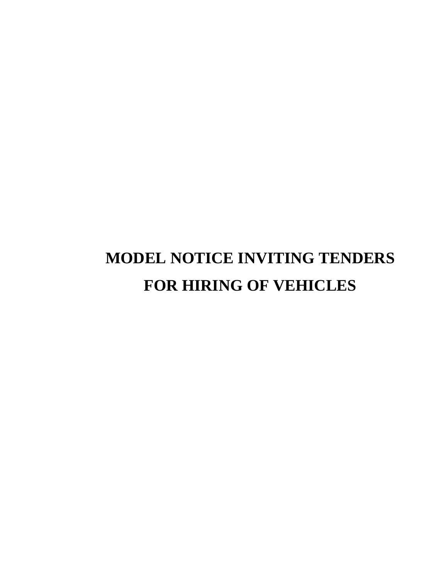# **MODEL NOTICE INVITING TENDERS FOR HIRING OF VEHICLES**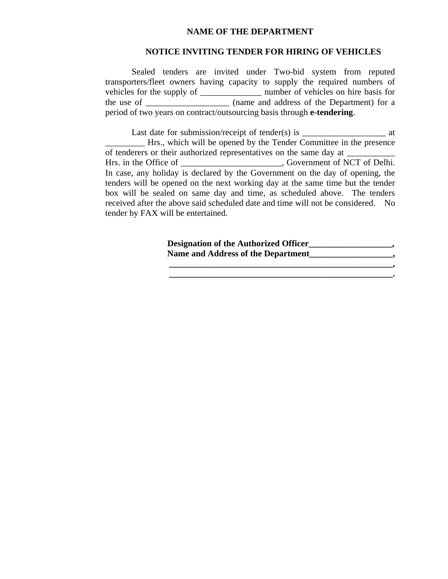#### **NAME OF THE DEPARTMENT**

#### **NOTICE INVITING TENDER FOR HIRING OF VEHICLES**

Sealed tenders are invited under Two-bid system from reputed transporters/fleet owners having capacity to supply the required numbers of vehicles for the supply of \_\_\_\_\_\_\_\_\_\_\_\_\_\_ number of vehicles on hire basis for the use of \_\_\_\_\_\_\_\_\_\_\_\_\_\_\_\_\_\_\_ (name and address of the Department) for a period of two years on contract/outsourcing basis through **e-tendering**.

Last date for submission/receipt of tender(s) is  $\qquad \qquad$  at \_\_\_\_\_\_\_\_\_ Hrs., which will be opened by the Tender Committee in the presence of tenderers or their authorized representatives on the same day at Hrs. in the Office of \_\_\_\_\_\_\_\_\_\_\_\_\_\_\_\_\_\_\_\_, Government of NCT of Delhi. In case, any holiday is declared by the Government on the day of opening, the tenders will be opened on the next working day at the same time but the tender box will be sealed on same day and time, as scheduled above. The tenders received after the above said scheduled date and time will not be considered. No tender by FAX will be entertained.

> **Designation of the Authorized Officer\_\_\_\_\_\_\_\_\_\_\_\_\_\_\_\_\_\_\_,**  Name and Address of the Department  $\qquad \qquad$

> > $\mathcal{L} = \{ \mathcal{L} \mathcal{L} \mathcal{L} \mathcal{L} \mathcal{L} \mathcal{L} \mathcal{L} \mathcal{L} \mathcal{L} \mathcal{L} \mathcal{L} \mathcal{L} \mathcal{L} \mathcal{L} \mathcal{L} \mathcal{L} \mathcal{L} \mathcal{L} \mathcal{L} \mathcal{L} \mathcal{L} \mathcal{L} \mathcal{L} \mathcal{L} \mathcal{L} \mathcal{L} \mathcal{L} \mathcal{L} \mathcal{L} \mathcal{L} \mathcal{L} \mathcal{L} \mathcal{L} \mathcal{L} \mathcal{L} \$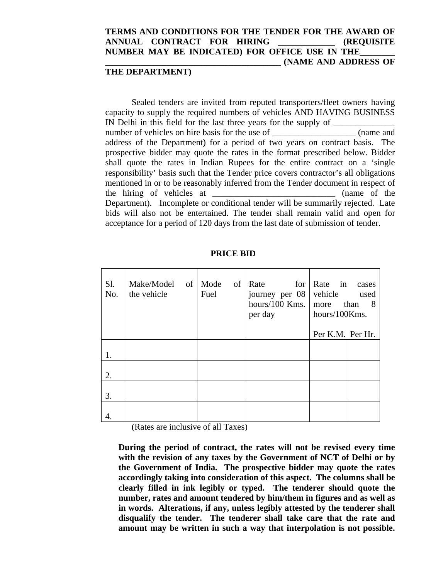### **TERMS AND CONDITIONS FOR THE TENDER FOR THE AWARD OF ANNUAL CONTRACT FOR HIRING \_\_\_\_\_\_\_\_\_\_\_\_\_ (REQUISITE**  NUMBER MAY BE INDICATED) FOR OFFICE USE IN THE **\_\_\_\_\_\_\_\_\_\_\_\_\_\_\_\_\_\_\_\_\_\_\_\_\_\_\_\_\_\_\_\_\_\_\_\_\_\_\_\_ (NAME AND ADDRESS OF**

### **THE DEPARTMENT)**

Sealed tenders are invited from reputed transporters/fleet owners having capacity to supply the required numbers of vehicles AND HAVING BUSINESS IN Delhi in this field for the last three years for the supply of \_\_\_\_\_\_\_\_\_\_\_\_\_\_\_ number of vehicles on hire basis for the use of \_\_\_\_\_\_\_\_\_\_\_\_\_\_\_\_\_\_\_\_\_\_\_ (name and address of the Department) for a period of two years on contract basis. The prospective bidder may quote the rates in the format prescribed below. Bidder shall quote the rates in Indian Rupees for the entire contract on a 'single responsibility' basis such that the Tender price covers contractor's all obligations mentioned in or to be reasonably inferred from the Tender document in respect of the hiring of vehicles at \_\_\_\_\_\_\_\_\_\_\_\_\_\_\_\_\_\_\_\_\_\_\_\_\_\_\_\_ (name of the Department). Incomplete or conditional tender will be summarily rejected. Late bids will also not be entertained. The tender shall remain valid and open for acceptance for a period of 120 days from the last date of submission of tender.

| S1.<br>No. | Make/Model of<br>the vehicle | Mode<br>of<br>Fuel | for<br>Rate<br>journey per 08<br>hours/100 Kms.<br>per day | Rate in<br>cases<br>vehicle<br>used<br>than<br>8<br>more<br>hours/100Kms.<br>Per K.M. Per Hr. |
|------------|------------------------------|--------------------|------------------------------------------------------------|-----------------------------------------------------------------------------------------------|
|            |                              |                    |                                                            |                                                                                               |
|            |                              |                    |                                                            |                                                                                               |
| 2.         |                              |                    |                                                            |                                                                                               |
| 3.         |                              |                    |                                                            |                                                                                               |
| 4.         |                              |                    |                                                            |                                                                                               |

#### **PRICE BID**

(Rates are inclusive of all Taxes)

**During the period of contract, the rates will not be revised every time with the revision of any taxes by the Government of NCT of Delhi or by the Government of India. The prospective bidder may quote the rates accordingly taking into consideration of this aspect. The columns shall be clearly filled in ink legibly or typed. The tenderer should quote the number, rates and amount tendered by him/them in figures and as well as in words. Alterations, if any, unless legibly attested by the tenderer shall disqualify the tender. The tenderer shall take care that the rate and amount may be written in such a way that interpolation is not possible.**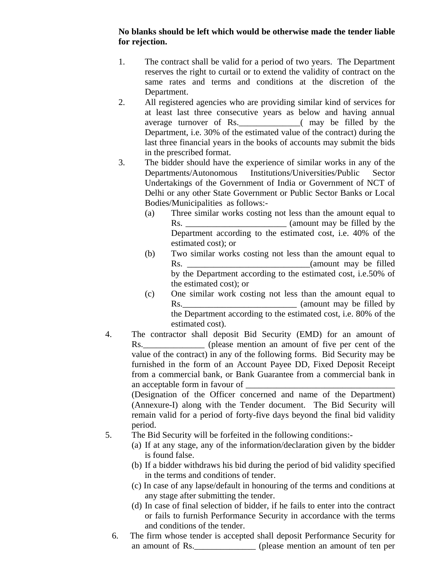## **No blanks should be left which would be otherwise made the tender liable for rejection.**

- 1. The contract shall be valid for a period of two years. The Department reserves the right to curtail or to extend the validity of contract on the same rates and terms and conditions at the discretion of the Department.
- 2. All registered agencies who are providing similar kind of services for at least last three consecutive years as below and having annual average turnover of Rs.\_\_\_\_\_\_\_\_\_\_\_\_\_\_( may be filled by the Department, i.e. 30% of the estimated value of the contract) during the last three financial years in the books of accounts may submit the bids in the prescribed format.
- 3. The bidder should have the experience of similar works in any of the Departments/Autonomous Institutions/Universities/Public Sector Undertakings of the Government of India or Government of NCT of Delhi or any other State Government or Public Sector Banks or Local Bodies/Municipalities as follows:-
	- (a) Three similar works costing not less than the amount equal to Rs. \_\_\_\_\_\_\_\_\_\_\_\_\_\_\_\_\_\_\_\_\_\_\_ (amount may be filled by the Department according to the estimated cost, i.e. 40% of the estimated cost); or
	- (b) Two similar works costing not less than the amount equal to Rs. \_\_\_\_\_\_\_\_\_\_\_\_\_\_\_\_\_\_\_\_\_\_\_\_\_\_\_\_(amount may be filled by the Department according to the estimated cost, i.e.50% of the estimated cost); or
	- (c) One similar work costing not less than the amount equal to Rs.\_\_\_\_\_\_\_\_\_\_\_\_\_\_\_\_\_\_\_\_\_\_\_\_\_\_ (amount may be filled by the Department according to the estimated cost, i.e. 80% of the estimated cost).
- 4. The contractor shall deposit Bid Security (EMD) for an amount of Rs. <u>\_\_\_\_\_\_\_\_\_\_</u> (please mention an amount of five per cent of the value of the contract) in any of the following forms. Bid Security may be furnished in the form of an Account Payee DD, Fixed Deposit Receipt from a commercial bank, or Bank Guarantee from a commercial bank in an acceptable form in favour of

(Designation of the Officer concerned and name of the Department) (Annexure-I) along with the Tender document. The Bid Security will remain valid for a period of forty-five days beyond the final bid validity period.

- 5. The Bid Security will be forfeited in the following conditions:-
	- (a) If at any stage, any of the information/declaration given by the bidder is found false.
	- (b) If a bidder withdraws his bid during the period of bid validity specified in the terms and conditions of tender.
	- (c) In case of any lapse/default in honouring of the terms and conditions at any stage after submitting the tender.
	- (d) In case of final selection of bidder, if he fails to enter into the contract or fails to furnish Performance Security in accordance with the terms and conditions of the tender.
	- 6. The firm whose tender is accepted shall deposit Performance Security for an amount of Rs.\_\_\_\_\_\_\_\_\_\_\_\_\_\_ (please mention an amount of ten per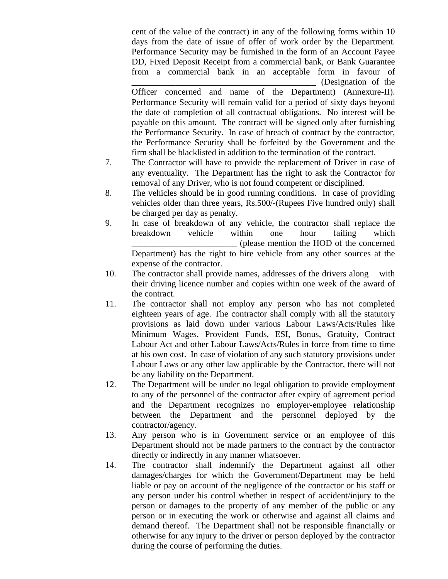cent of the value of the contract) in any of the following forms within 10 days from the date of issue of offer of work order by the Department. Performance Security may be furnished in the form of an Account Payee DD, Fixed Deposit Receipt from a commercial bank, or Bank Guarantee from a commercial bank in an acceptable form in favour of  $\Box$  (Designation of the

Officer concerned and name of the Department) (Annexure-II). Performance Security will remain valid for a period of sixty days beyond the date of completion of all contractual obligations. No interest will be payable on this amount. The contract will be signed only after furnishing the Performance Security. In case of breach of contract by the contractor, the Performance Security shall be forfeited by the Government and the firm shall be blacklisted in addition to the termination of the contract.

- 7. The Contractor will have to provide the replacement of Driver in case of any eventuality. The Department has the right to ask the Contractor for removal of any Driver, who is not found competent or disciplined.
- 8. The vehicles should be in good running conditions. In case of providing vehicles older than three years, Rs.500/-(Rupees Five hundred only) shall be charged per day as penalty.
- 9. In case of breakdown of any vehicle, the contractor shall replace the breakdown vehicle within one hour failing which \_\_\_\_\_\_\_\_\_\_\_\_\_\_\_\_\_\_\_\_\_\_\_\_ (please mention the HOD of the concerned Department) has the right to hire vehicle from any other sources at the expense of the contractor.
- 10. The contractor shall provide names, addresses of the drivers along with their driving licence number and copies within one week of the award of the contract.
- 11. The contractor shall not employ any person who has not completed eighteen years of age. The contractor shall comply with all the statutory provisions as laid down under various Labour Laws/Acts/Rules like Minimum Wages, Provident Funds, ESI, Bonus, Gratuity, Contract Labour Act and other Labour Laws/Acts/Rules in force from time to time at his own cost. In case of violation of any such statutory provisions under Labour Laws or any other law applicable by the Contractor, there will not be any liability on the Department.
- 12. The Department will be under no legal obligation to provide employment to any of the personnel of the contractor after expiry of agreement period and the Department recognizes no employer-employee relationship between the Department and the personnel deployed by the contractor/agency.
- 13. Any person who is in Government service or an employee of this Department should not be made partners to the contract by the contractor directly or indirectly in any manner whatsoever.
- 14. The contractor shall indemnify the Department against all other damages/charges for which the Government/Department may be held liable or pay on account of the negligence of the contractor or his staff or any person under his control whether in respect of accident/injury to the person or damages to the property of any member of the public or any person or in executing the work or otherwise and against all claims and demand thereof. The Department shall not be responsible financially or otherwise for any injury to the driver or person deployed by the contractor during the course of performing the duties.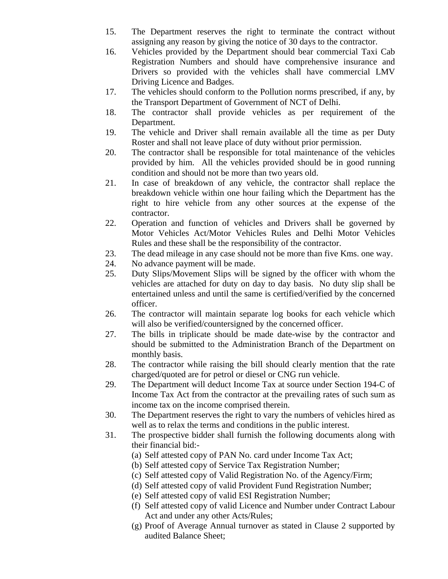- 15. The Department reserves the right to terminate the contract without assigning any reason by giving the notice of 30 days to the contractor.
- 16. Vehicles provided by the Department should bear commercial Taxi Cab Registration Numbers and should have comprehensive insurance and Drivers so provided with the vehicles shall have commercial LMV Driving Licence and Badges.
- 17. The vehicles should conform to the Pollution norms prescribed, if any, by the Transport Department of Government of NCT of Delhi.
- 18. The contractor shall provide vehicles as per requirement of the Department.
- 19. The vehicle and Driver shall remain available all the time as per Duty Roster and shall not leave place of duty without prior permission.
- 20. The contractor shall be responsible for total maintenance of the vehicles provided by him. All the vehicles provided should be in good running condition and should not be more than two years old.
- 21. In case of breakdown of any vehicle, the contractor shall replace the breakdown vehicle within one hour failing which the Department has the right to hire vehicle from any other sources at the expense of the contractor.
- 22. Operation and function of vehicles and Drivers shall be governed by Motor Vehicles Act/Motor Vehicles Rules and Delhi Motor Vehicles Rules and these shall be the responsibility of the contractor.
- 23. The dead mileage in any case should not be more than five Kms. one way.
- 24. No advance payment will be made.
- 25. Duty Slips/Movement Slips will be signed by the officer with whom the vehicles are attached for duty on day to day basis. No duty slip shall be entertained unless and until the same is certified/verified by the concerned officer.
- 26. The contractor will maintain separate log books for each vehicle which will also be verified/countersigned by the concerned officer.
- 27. The bills in triplicate should be made date-wise by the contractor and should be submitted to the Administration Branch of the Department on monthly basis.
- 28. The contractor while raising the bill should clearly mention that the rate charged/quoted are for petrol or diesel or CNG run vehicle.
- 29. The Department will deduct Income Tax at source under Section 194-C of Income Tax Act from the contractor at the prevailing rates of such sum as income tax on the income comprised therein.
- 30. The Department reserves the right to vary the numbers of vehicles hired as well as to relax the terms and conditions in the public interest.
- 31. The prospective bidder shall furnish the following documents along with their financial bid:-
	- (a) Self attested copy of PAN No. card under Income Tax Act;
	- (b) Self attested copy of Service Tax Registration Number;
	- (c) Self attested copy of Valid Registration No. of the Agency/Firm;
	- (d) Self attested copy of valid Provident Fund Registration Number;
	- (e) Self attested copy of valid ESI Registration Number;
	- (f) Self attested copy of valid Licence and Number under Contract Labour Act and under any other Acts/Rules;
	- (g) Proof of Average Annual turnover as stated in Clause 2 supported by audited Balance Sheet;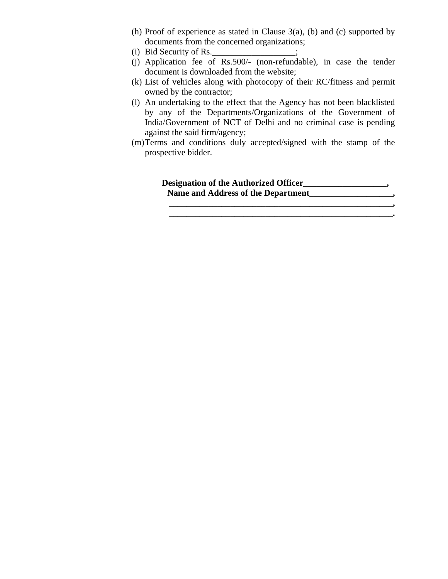- (h) Proof of experience as stated in Clause 3(a), (b) and (c) supported by documents from the concerned organizations;
- (i) Bid Security of Rs.  $\frac{1}{2}$ ;
- (j) Application fee of Rs.500/- (non-refundable), in case the tender document is downloaded from the website;
- (k) List of vehicles along with photocopy of their RC/fitness and permit owned by the contractor;
- (l) An undertaking to the effect that the Agency has not been blacklisted by any of the Departments/Organizations of the Government of India/Government of NCT of Delhi and no criminal case is pending against the said firm/agency;
- (m)Terms and conditions duly accepted/signed with the stamp of the prospective bidder.

 **Designation of the Authorized Officer\_\_\_\_\_\_\_\_\_\_\_\_\_\_\_\_\_\_\_,**  Name and Address of the Department **Name and Address of the Department \_\_\_\_\_\_\_\_\_\_\_\_\_\_\_\_\_\_\_\_\_\_\_\_\_\_\_\_\_\_\_\_\_\_\_\_\_\_\_\_\_\_\_\_\_\_\_\_\_\_\_,** 

 $\mathcal{L} = \{ \mathcal{L} = \{ \mathcal{L} \} \cup \{ \mathcal{L} = \{ \mathcal{L} \} \cup \{ \mathcal{L} = \{ \mathcal{L} \} \cup \{ \mathcal{L} = \{ \mathcal{L} \} \} \cup \{ \mathcal{L} = \{ \mathcal{L} \} \cup \{ \mathcal{L} = \{ \mathcal{L} \} \cup \{ \mathcal{L} = \{ \mathcal{L} \} \} \cup \{ \mathcal{L} = \{ \mathcal{L} \} \cup \{ \mathcal{L} = \{ \mathcal{L} \} \cup \{ \mathcal{L} = \{ \mathcal{L} \} \$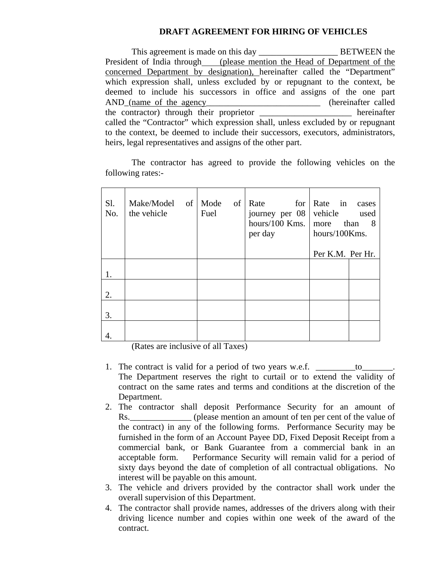## **DRAFT AGREEMENT FOR HIRING OF VEHICLES**

This agreement is made on this day BETWEEN the President of India through (please mention the Head of Department of the concerned Department by designation), hereinafter called the "Department" which expression shall, unless excluded by or repugnant to the context, be deemed to include his successors in office and assigns of the one part AND\_(name of the agency\_\_\_\_\_\_\_\_\_\_\_\_\_\_\_\_\_\_\_\_\_\_\_\_\_\_\_ (hereinafter called the contractor) through their proprietor \_\_\_\_\_\_\_\_\_\_\_\_\_\_\_\_\_\_\_\_\_ hereinafter called the "Contractor" which expression shall, unless excluded by or repugnant to the context, be deemed to include their successors, executors, administrators, heirs, legal representatives and assigns of the other part.

The contractor has agreed to provide the following vehicles on the following rates:-

| S1.<br>No. | Make/Model of<br>the vehicle | Mode<br>of<br>Fuel | Rate<br>for<br>journey per 08<br>hours/100 Kms.<br>per day | Rate in<br>cases<br>vehicle<br>used<br>than<br>more<br>- 8<br>hours/100Kms. |
|------------|------------------------------|--------------------|------------------------------------------------------------|-----------------------------------------------------------------------------|
|            |                              |                    |                                                            | Per K.M. Per Hr.                                                            |
|            |                              |                    |                                                            |                                                                             |
| 2.         |                              |                    |                                                            |                                                                             |
| 3.         |                              |                    |                                                            |                                                                             |
|            |                              |                    |                                                            |                                                                             |

(Rates are inclusive of all Taxes)

- 1. The contract is valid for a period of two years w.e.f.  $\qquad \qquad$  to The Department reserves the right to curtail or to extend the validity of contract on the same rates and terms and conditions at the discretion of the Department.
- 2. The contractor shall deposit Performance Security for an amount of Rs. (please mention an amount of ten per cent of the value of the contract) in any of the following forms. Performance Security may be furnished in the form of an Account Payee DD, Fixed Deposit Receipt from a commercial bank, or Bank Guarantee from a commercial bank in an acceptable form. Performance Security will remain valid for a period of sixty days beyond the date of completion of all contractual obligations. No interest will be payable on this amount.
- 3. The vehicle and drivers provided by the contractor shall work under the overall supervision of this Department.
- 4. The contractor shall provide names, addresses of the drivers along with their driving licence number and copies within one week of the award of the contract.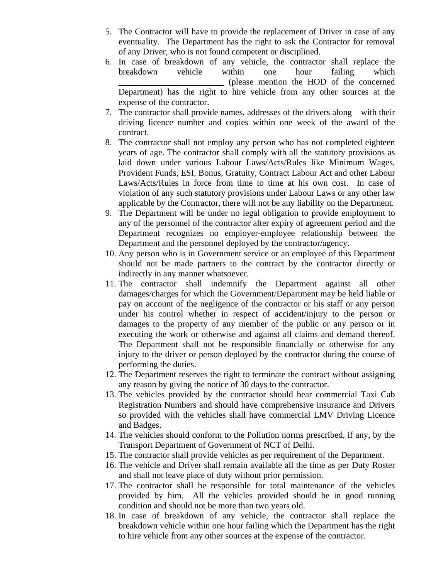- 5. The Contractor will have to provide the replacement of Driver in case of any eventuality. The Department has the right to ask the Contractor for removal of any Driver, who is not found competent or disciplined.
- 6. In case of breakdown of any vehicle, the contractor shall replace the breakdown vehicle within one hour failing which \_\_\_\_\_\_\_\_\_\_\_\_\_\_\_\_\_\_\_\_\_\_\_\_ (please mention the HOD of the concerned Department) has the right to hire vehicle from any other sources at the expense of the contractor.
- 7. The contractor shall provide names, addresses of the drivers along with their driving licence number and copies within one week of the award of the contract.
- 8. The contractor shall not employ any person who has not completed eighteen years of age. The contractor shall comply with all the statutory provisions as laid down under various Labour Laws/Acts/Rules like Minimum Wages, Provident Funds, ESI, Bonus, Gratuity, Contract Labour Act and other Labour Laws/Acts/Rules in force from time to time at his own cost. In case of violation of any such statutory provisions under Labour Laws or any other law applicable by the Contractor, there will not be any liability on the Department.
- 9. The Department will be under no legal obligation to provide employment to any of the personnel of the contractor after expiry of agreement period and the Department recognizes no employer-employee relationship between the Department and the personnel deployed by the contractor/agency.
- 10. Any person who is in Government service or an employee of this Department should not be made partners to the contract by the contractor directly or indirectly in any manner whatsoever.
- 11. The contractor shall indemnify the Department against all other damages/charges for which the Government/Department may be held liable or pay on account of the negligence of the contractor or his staff or any person under his control whether in respect of accident/injury to the person or damages to the property of any member of the public or any person or in executing the work or otherwise and against all claims and demand thereof. The Department shall not be responsible financially or otherwise for any injury to the driver or person deployed by the contractor during the course of performing the duties.
- 12. The Department reserves the right to terminate the contract without assigning any reason by giving the notice of 30 days to the contractor.
- 13. The vehicles provided by the contractor should bear commercial Taxi Cab Registration Numbers and should have comprehensive insurance and Drivers so provided with the vehicles shall have commercial LMV Driving Licence and Badges.
- 14. The vehicles should conform to the Pollution norms prescribed, if any, by the Transport Department of Government of NCT of Delhi.
- 15. The contractor shall provide vehicles as per requirement of the Department.
- 16. The vehicle and Driver shall remain available all the time as per Duty Roster and shall not leave place of duty without prior permission.
- 17. The contractor shall be responsible for total maintenance of the vehicles provided by him. All the vehicles provided should be in good running condition and should not be more than two years old.
- 18. In case of breakdown of any vehicle, the contractor shall replace the breakdown vehicle within one hour failing which the Department has the right to hire vehicle from any other sources at the expense of the contractor.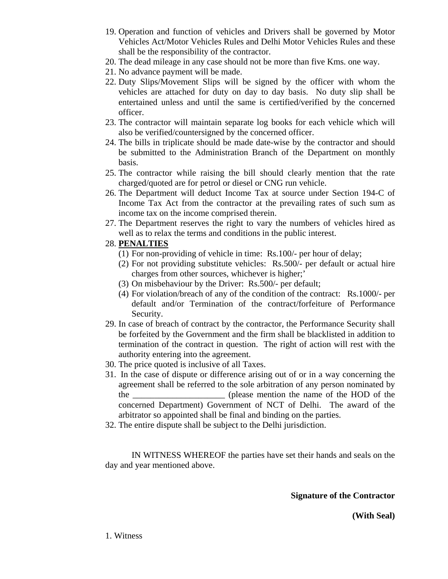- 19. Operation and function of vehicles and Drivers shall be governed by Motor Vehicles Act/Motor Vehicles Rules and Delhi Motor Vehicles Rules and these shall be the responsibility of the contractor.
- 20. The dead mileage in any case should not be more than five Kms. one way.
- 21. No advance payment will be made.
- 22. Duty Slips/Movement Slips will be signed by the officer with whom the vehicles are attached for duty on day to day basis. No duty slip shall be entertained unless and until the same is certified/verified by the concerned officer.
- 23. The contractor will maintain separate log books for each vehicle which will also be verified/countersigned by the concerned officer.
- 24. The bills in triplicate should be made date-wise by the contractor and should be submitted to the Administration Branch of the Department on monthly basis.
- 25. The contractor while raising the bill should clearly mention that the rate charged/quoted are for petrol or diesel or CNG run vehicle.
- 26. The Department will deduct Income Tax at source under Section 194-C of Income Tax Act from the contractor at the prevailing rates of such sum as income tax on the income comprised therein.
- 27. The Department reserves the right to vary the numbers of vehicles hired as well as to relax the terms and conditions in the public interest.
- 28. **PENALTIES**
	- (1) For non-providing of vehicle in time: Rs.100/- per hour of delay;
	- (2) For not providing substitute vehicles: Rs.500/- per default or actual hire charges from other sources, whichever is higher;'
	- (3) On misbehaviour by the Driver: Rs.500/- per default;
	- (4) For violation/breach of any of the condition of the contract: Rs.1000/- per default and/or Termination of the contract/forfeiture of Performance Security.
- 29. In case of breach of contract by the contractor, the Performance Security shall be forfeited by the Government and the firm shall be blacklisted in addition to termination of the contract in question. The right of action will rest with the authority entering into the agreement.
- 30. The price quoted is inclusive of all Taxes.
- 31. In the case of dispute or difference arising out of or in a way concerning the agreement shall be referred to the sole arbitration of any person nominated by the the contract of the the name of the HOD of the  $\mu$ concerned Department) Government of NCT of Delhi. The award of the arbitrator so appointed shall be final and binding on the parties.
- 32. The entire dispute shall be subject to the Delhi jurisdiction.

IN WITNESS WHEREOF the parties have set their hands and seals on the day and year mentioned above.

**Signature of the Contractor** 

**(With Seal)**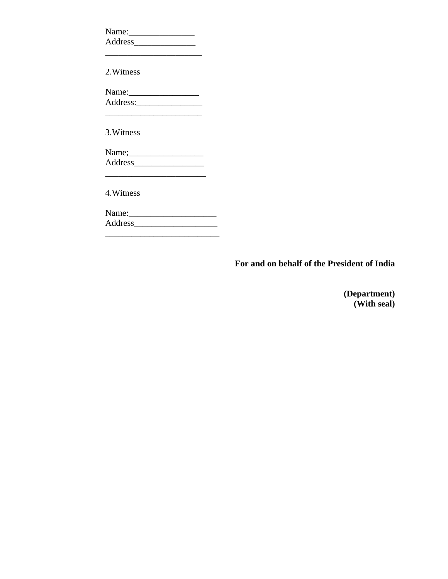| $Name:\_$                                                                                 |  |
|-------------------------------------------------------------------------------------------|--|
|                                                                                           |  |
| the control of the control of the control of the control of the control of the control of |  |
| 2. Witness                                                                                |  |
| Name: $\frac{1}{2}$                                                                       |  |
|                                                                                           |  |
|                                                                                           |  |
| 3. Witness                                                                                |  |
|                                                                                           |  |
|                                                                                           |  |
|                                                                                           |  |
| 4. Witness                                                                                |  |
|                                                                                           |  |
|                                                                                           |  |
|                                                                                           |  |

**For and on behalf of the President of India** 

**(Department) (With seal)**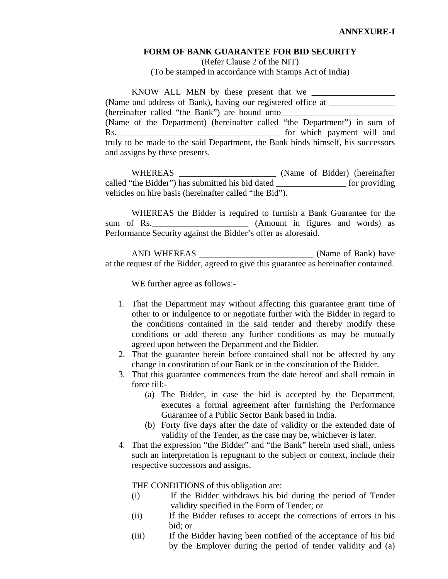#### **FORM OF BANK GUARANTEE FOR BID SECURITY**

(Refer Clause 2 of the NIT) (To be stamped in accordance with Stamps Act of India)

 KNOW ALL MEN by these present that we \_\_\_\_\_\_\_\_\_\_\_\_\_\_\_\_\_\_\_ (Name and address of Bank), having our registered office at \_\_\_\_\_\_\_\_\_\_\_\_\_\_\_\_\_\_\_\_\_ (hereinafter called "the Bank") are bound unto (Name of the Department) (hereinafter called "the Department") in sum of Rs. The contract of the contract of the contract of the contract of the payment will and  $\sim$ truly to be made to the said Department, the Bank binds himself, his successors and assigns by these presents.

WHEREAS \_\_\_\_\_\_\_\_\_\_\_\_\_\_\_\_\_\_\_\_\_\_\_\_\_\_\_ (Name of Bidder) (hereinafter called "the Bidder") has submitted his bid dated \_\_\_\_\_\_\_\_\_\_\_\_\_\_\_\_ for providing vehicles on hire basis (hereinafter called "the Bid").

 WHEREAS the Bidder is required to furnish a Bank Guarantee for the sum of Rs. (Amount in figures and words) as Performance Security against the Bidder's offer as aforesaid.

 AND WHEREAS \_\_\_\_\_\_\_\_\_\_\_\_\_\_\_\_\_\_\_\_\_\_\_\_\_\_ (Name of Bank) have at the request of the Bidder, agreed to give this guarantee as hereinafter contained.

WE further agree as follows:-

- 1. That the Department may without affecting this guarantee grant time of other to or indulgence to or negotiate further with the Bidder in regard to the conditions contained in the said tender and thereby modify these conditions or add thereto any further conditions as may be mutually agreed upon between the Department and the Bidder.
- 2. That the guarantee herein before contained shall not be affected by any change in constitution of our Bank or in the constitution of the Bidder.
- 3. That this guarantee commences from the date hereof and shall remain in force till:-
	- (a) The Bidder, in case the bid is accepted by the Department, executes a formal agreement after furnishing the Performance Guarantee of a Public Sector Bank based in India.
	- (b) Forty five days after the date of validity or the extended date of validity of the Tender, as the case may be, whichever is later.
- 4. That the expression "the Bidder" and "the Bank" herein used shall, unless such an interpretation is repugnant to the subject or context, include their respective successors and assigns.

THE CONDITIONS of this obligation are:

- (i) If the Bidder withdraws his bid during the period of Tender validity specified in the Form of Tender; or
- (ii) If the Bidder refuses to accept the corrections of errors in his bid; or
- (iii) If the Bidder having been notified of the acceptance of his bid by the Employer during the period of tender validity and (a)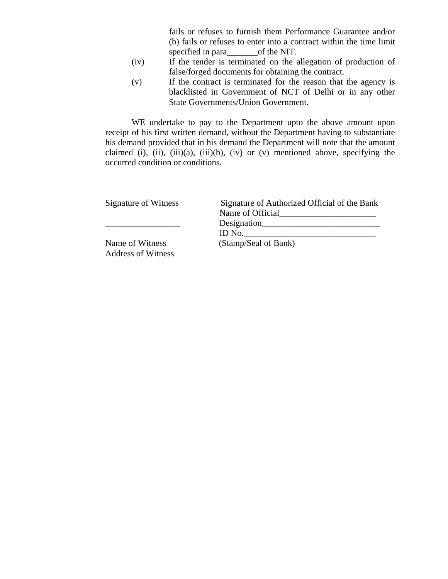fails or refuses to furnish them Performance Guarantee and/or (b) fails or refuses to enter into a contract within the time limit specified in para\_\_\_\_\_\_\_\_\_\_\_of the NIT.

- (iv) If the tender is terminated on the allegation of production of false/forged documents for obtaining the contract.
- (v) If the contract is terminated for the reason that the agency is blacklisted in Government of NCT of Delhi or in any other State Governments/Union Government.

WE undertake to pay to the Department upto the above amount upon receipt of his first written demand, without the Department having to substantiate his demand provided that in his demand the Department will note that the amount claimed (i), (ii), (iii)(a), (iii)(b), (iv) or (v) mentioned above, specifying the occurred condition or conditions.

| Signature of Witness      | Signature of Authorized Official of the Bank |  |
|---------------------------|----------------------------------------------|--|
|                           | Name of Official                             |  |
|                           | Designation                                  |  |
|                           | ID No.                                       |  |
| Name of Witness           | (Stamp/Seal of Bank)                         |  |
| <b>Address of Witness</b> |                                              |  |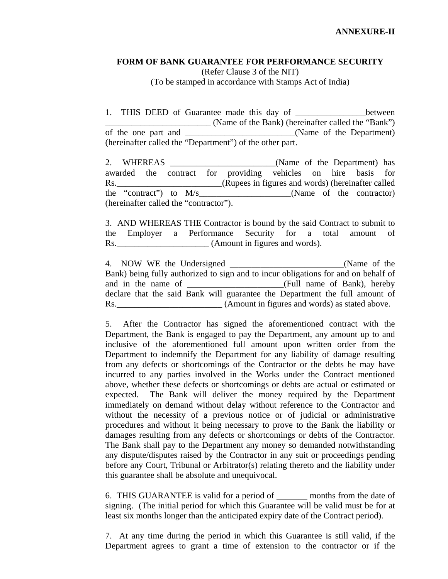#### **FORM OF BANK GUARANTEE FOR PERFORMANCE SECURITY**  (Refer Clause 3 of the NIT)

(To be stamped in accordance with Stamps Act of India)

1. THIS DEED of Guarantee made this day of \_\_\_\_\_\_\_\_\_\_\_\_\_\_\_\_between \_\_\_\_\_\_\_\_\_\_\_\_\_\_\_\_\_\_\_\_\_\_\_\_ (Name of the Bank) (hereinafter called the "Bank") of the one part and \_\_\_\_\_\_\_\_\_\_\_\_\_\_\_\_\_\_\_\_(Name of the Department) (hereinafter called the "Department") of the other part.

2. WHEREAS \_\_\_\_\_\_\_\_\_\_\_\_\_\_\_\_\_\_\_\_\_\_\_\_(Name of the Department) has awarded the contract for providing vehicles on hire basis for Rs. \_\_\_\_\_\_\_\_\_\_\_\_\_\_\_\_\_\_\_\_\_\_\_\_\_(Rupees in figures and words) (hereinafter called the "contract") to M/s\_\_\_\_\_\_\_\_\_\_\_\_\_\_\_\_\_\_\_\_\_(Name of the contractor) (hereinafter called the "contractor").

3. AND WHEREAS THE Contractor is bound by the said Contract to submit to the Employer a Performance Security for a total amount of Rs. (Amount in figures and words).

4. NOW WE the Undersigned \_\_\_\_\_\_\_\_\_\_\_\_\_\_\_\_\_\_\_\_\_\_\_\_\_\_(Name of the Bank) being fully authorized to sign and to incur obligations for and on behalf of and in the name of \_\_\_\_\_\_\_\_\_\_\_\_\_\_\_\_\_\_\_\_\_\_(Full name of Bank), hereby declare that the said Bank will guarantee the Department the full amount of Rs.\_\_\_\_\_\_\_\_\_\_\_\_\_\_\_\_\_\_\_\_\_\_\_\_ (Amount in figures and words) as stated above.

5. After the Contractor has signed the aforementioned contract with the Department, the Bank is engaged to pay the Department, any amount up to and inclusive of the aforementioned full amount upon written order from the Department to indemnify the Department for any liability of damage resulting from any defects or shortcomings of the Contractor or the debts he may have incurred to any parties involved in the Works under the Contract mentioned above, whether these defects or shortcomings or debts are actual or estimated or expected. The Bank will deliver the money required by the Department immediately on demand without delay without reference to the Contractor and without the necessity of a previous notice or of judicial or administrative procedures and without it being necessary to prove to the Bank the liability or damages resulting from any defects or shortcomings or debts of the Contractor. The Bank shall pay to the Department any money so demanded notwithstanding any dispute/disputes raised by the Contractor in any suit or proceedings pending before any Court, Tribunal or Arbitrator(s) relating thereto and the liability under this guarantee shall be absolute and unequivocal.

6. THIS GUARANTEE is valid for a period of \_\_\_\_\_\_\_ months from the date of signing. (The initial period for which this Guarantee will be valid must be for at least six months longer than the anticipated expiry date of the Contract period).

7. At any time during the period in which this Guarantee is still valid, if the Department agrees to grant a time of extension to the contractor or if the